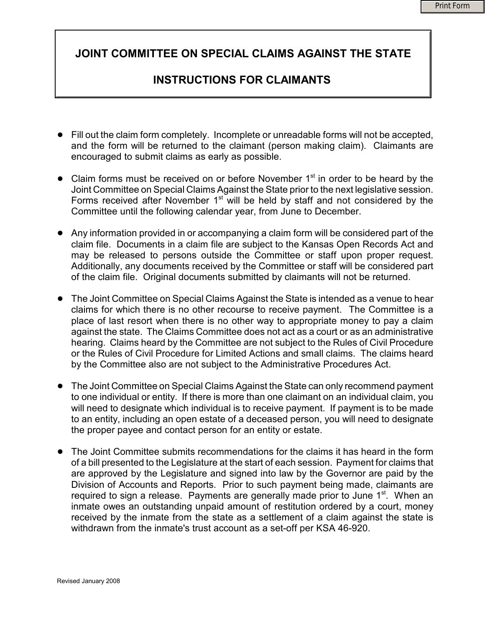## JOINT COMMITTEE ON SPECIAL CLAIMS AGAINST THE STATE

## INSTRUCTIONS FOR CLAIMANTS

- Fill out the claim form completely. Incomplete or unreadable forms will not be accepted, and the form will be returned to the claimant (person making claim). Claimants are encouraged to submit claims as early as possible.
- $\bullet$  Claim forms must be received on or before November 1<sup>st</sup> in order to be heard by the Joint Committee on Special Claims Against the State prior to the next legislative session. Forms received after November 1<sup>st</sup> will be held by staff and not considered by the Committee until the following calendar year, from June to December.
- ! Any information provided in or accompanying a claim form will be considered part of the claim file. Documents in a claim file are subject to the Kansas Open Records Act and may be released to persons outside the Committee or staff upon proper request. Additionally, any documents received by the Committee or staff will be considered part of the claim file. Original documents submitted by claimants will not be returned.
- ! The Joint Committee on Special Claims Against the State is intended as a venue to hear claims for which there is no other recourse to receive payment. The Committee is a place of last resort when there is no other way to appropriate money to pay a claim against the state. The Claims Committee does not act as a court or as an administrative hearing. Claims heard by the Committee are not subject to the Rules of Civil Procedure or the Rules of Civil Procedure for Limited Actions and small claims. The claims heard by the Committee also are not subject to the Administrative Procedures Act.
- The Joint Committee on Special Claims Against the State can only recommend payment to one individual or entity. If there is more than one claimant on an individual claim, you will need to designate which individual is to receive payment. If payment is to be made to an entity, including an open estate of a deceased person, you will need to designate the proper payee and contact person for an entity or estate.
- The Joint Committee submits recommendations for the claims it has heard in the form of a bill presented to the Legislature at the start of each session. Payment for claims that are approved by the Legislature and signed into law by the Governor are paid by the Division of Accounts and Reports. Prior to such payment being made, claimants are required to sign a release. Payments are generally made prior to June 1<sup>st</sup>. When an inmate owes an outstanding unpaid amount of restitution ordered by a court, money received by the inmate from the state as a settlement of a claim against the state is withdrawn from the inmate's trust account as a set-off per KSA 46-920.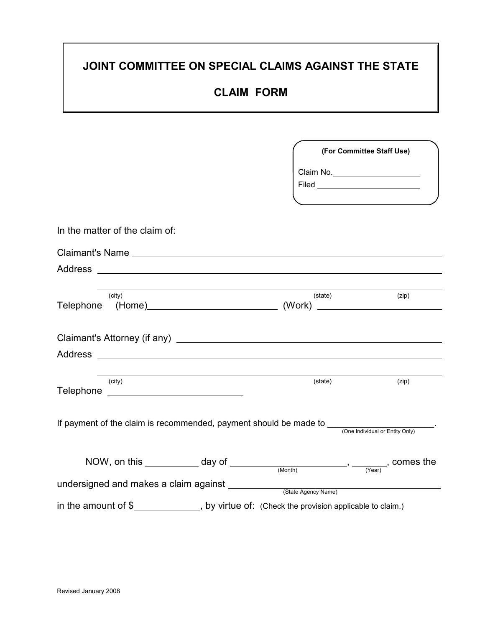# JOINT COMMITTEE ON SPECIAL CLAIMS AGAINST THE STATE

## CLAIM FORM

|                                                                                                               | (For Committee Staff Use) |                                   |
|---------------------------------------------------------------------------------------------------------------|---------------------------|-----------------------------------|
|                                                                                                               |                           | Claim No. _______________________ |
| In the matter of the claim of:                                                                                |                           |                                   |
|                                                                                                               |                           |                                   |
|                                                                                                               |                           |                                   |
| (city)                                                                                                        | (state)                   | (zip)                             |
|                                                                                                               |                           |                                   |
|                                                                                                               |                           |                                   |
| (city)                                                                                                        | (state)                   | (zip)                             |
| If payment of the claim is recommended, payment should be made to $\frac{1}{(One Individual or Entity Only)}$ |                           |                                   |
| NOW, on this $\_\_\_\_\_\_\_\_\_\_\_\_\_\_\_\_\_\_\_\_\_\_\_\_\_$ , comes the                                 |                           |                                   |
| undersigned and makes a claim against ___________                                                             | (State Agency Name)       |                                   |
| in the amount of \$_______________, by virtue of: (Check the provision applicable to claim.)                  |                           |                                   |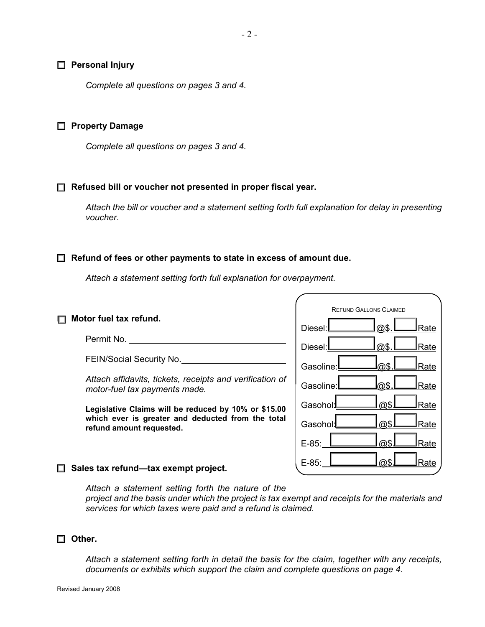#### $\Box$  Personal Injury

Complete all questions on pages 3 and 4.

#### **G** Property Damage

Complete all questions on pages 3 and 4.

 $\Box$  Refused bill or voucher not presented in proper fiscal year.

Attach the bill or voucher and a statement setting forth full explanation for delay in presenting voucher.

#### $\Box$  Refund of fees or other payments to state in excess of amount due.

Attach a statement setting forth full explanation for overpayment.

#### REFUND GALLONS CLAIMED Diesel:  $\Box$  Rate Diesel: @\$. Rate Gasoline:  $\Box$  @\$.  $\Box$  Rate Gasoline: 2005. Rate Gasohol: as **Casohol** Gasohol: **@\$L\_\_Rate**  $E-85:$   $\Box$   $@S\Box$  Rate  $E-85:$   $\Box$   $\Box$   $\Box$  Rate  $\Box$  Motor fuel tax refund. Permit No. FEIN/Social Security No. Attach affidavits, tickets, receipts and verification of motor-fuel tax payments made. Legislative Claims will be reduced by 10% or \$15.00 which ever is greater and deducted from the total refund amount requested.

#### $\Box$  Sales tax refund—tax exempt project.

Attach a statement setting forth the nature of the project and the basis under which the project is tax exempt and receipts for the materials and services for which taxes were paid and a refund is claimed.

#### $\square$  Other.

Attach a statement setting forth in detail the basis for the claim, together with any receipts, documents or exhibits which support the claim and complete questions on page 4.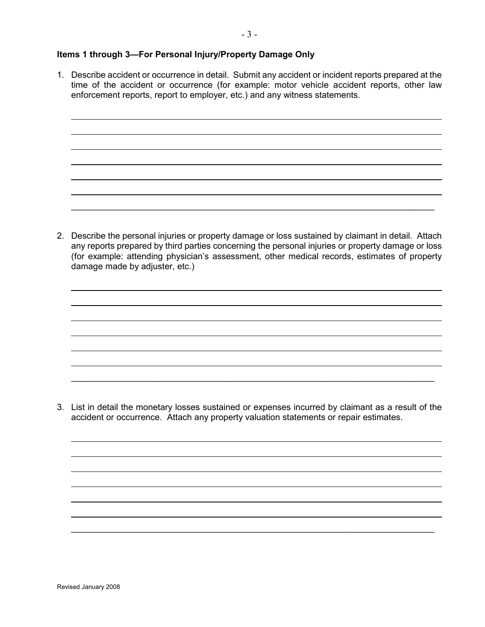#### Items 1 through 3—For Personal Injury/Property Damage Only

1. Describe accident or occurrence in detail. Submit any accident or incident reports prepared at the time of the accident or occurrence (for example: motor vehicle accident reports, other law enforcement reports, report to employer, etc.) and any witness statements.

2. Describe the personal injuries or property damage or loss sustained by claimant in detail. Attach any reports prepared by third parties concerning the personal injuries or property damage or loss (for example: attending physician's assessment, other medical records, estimates of property damage made by adjuster, etc.)

\_\_\_\_\_\_\_\_\_\_\_\_\_\_\_\_\_\_\_\_\_\_\_\_\_\_\_\_\_\_\_\_\_\_\_\_\_\_\_\_\_\_\_\_\_\_\_\_\_\_\_\_\_\_\_\_\_\_\_\_\_\_\_\_\_\_\_\_\_\_\_\_\_\_\_

3. List in detail the monetary losses sustained or expenses incurred by claimant as a result of the accident or occurrence. Attach any property valuation statements or repair estimates.

\_\_\_\_\_\_\_\_\_\_\_\_\_\_\_\_\_\_\_\_\_\_\_\_\_\_\_\_\_\_\_\_\_\_\_\_\_\_\_\_\_\_\_\_\_\_\_\_\_\_\_\_\_\_\_\_\_\_\_\_\_\_\_\_\_\_\_\_\_\_\_\_\_\_\_

\_\_\_\_\_\_\_\_\_\_\_\_\_\_\_\_\_\_\_\_\_\_\_\_\_\_\_\_\_\_\_\_\_\_\_\_\_\_\_\_\_\_\_\_\_\_\_\_\_\_\_\_\_\_\_\_\_\_\_\_\_\_\_\_\_\_\_\_\_\_\_\_\_\_\_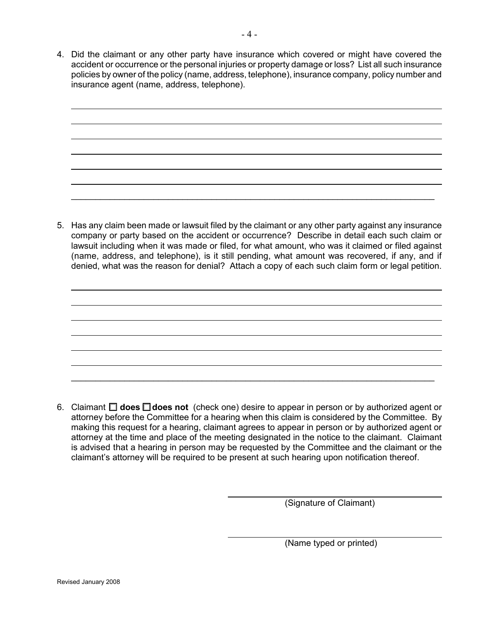4. Did the claimant or any other party have insurance which covered or might have covered the accident or occurrence or the personal injuries or property damage or loss? List all such insurance policies by owner of the policy (name, address, telephone), insurance company, policy number and insurance agent (name, address, telephone).

\_\_\_\_\_\_\_\_\_\_\_\_\_\_\_\_\_\_\_\_\_\_\_\_\_\_\_\_\_\_\_\_\_\_\_\_\_\_\_\_\_\_\_\_\_\_\_\_\_\_\_\_\_\_\_\_\_\_\_\_\_\_\_\_\_\_\_\_\_\_\_\_\_\_\_

5. Has any claim been made or lawsuit filed by the claimant or any other party against any insurance company or party based on the accident or occurrence? Describe in detail each such claim or lawsuit including when it was made or filed, for what amount, who was it claimed or filed against (name, address, and telephone), is it still pending, what amount was recovered, if any, and if denied, what was the reason for denial? Attach a copy of each such claim form or legal petition.

6. Claimant  $\Box$  does  $\Box$  does not (check one) desire to appear in person or by authorized agent or attorney before the Committee for a hearing when this claim is considered by the Committee. By making this request for a hearing, claimant agrees to appear in person or by authorized agent or attorney at the time and place of the meeting designated in the notice to the claimant. Claimant is advised that a hearing in person may be requested by the Committee and the claimant or the claimant's attorney will be required to be present at such hearing upon notification thereof.

\_\_\_\_\_\_\_\_\_\_\_\_\_\_\_\_\_\_\_\_\_\_\_\_\_\_\_\_\_\_\_\_\_\_\_\_\_\_\_\_\_\_\_\_\_\_\_\_\_\_\_\_\_\_\_\_\_\_\_\_\_\_\_\_\_\_\_\_\_\_\_\_\_\_\_

(Signature of Claimant)

(Name typed or printed)